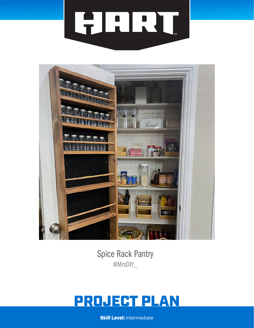



Spice Rack Pantry @MrsDIY\_

# PROJECT PLAN

**Skill Level: Intermediate**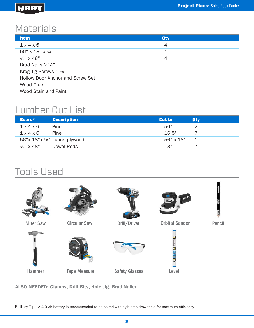### HART

# **Materials**

| <b>Item</b>                             | <b>Oty</b> |  |
|-----------------------------------------|------------|--|
| $1 \times 4 \times 6'$                  | 4          |  |
| 56" x 18" x 14"                         | 1          |  |
| $\frac{1}{2}$ " x 48"                   | 4          |  |
| Brad Nails 2 1/4"                       |            |  |
| Kreg Jig Screws $1 \frac{1}{4}$ "       |            |  |
| <b>Hollow Door Anchor and Screw Set</b> |            |  |
| Wood Glue                               |            |  |
| Wood Stain and Paint                    |            |  |
|                                         |            |  |

# Lumber Cut List

| Board*                 | <b>Description</b>           | <b>Cut to</b> | <b>Otv</b> |
|------------------------|------------------------------|---------------|------------|
| $1 \times 4 \times 6'$ | Pine                         | 56"           |            |
| $1 \times 4 \times 6'$ | Pine                         | 16.5"         |            |
|                        | 56"x 18"x 1/4" Luann plywood | 56" x 18"     | 1          |
| $\frac{1}{2}$ " x 48"  | Dowel Rods                   | 18"           |            |

# Tools Used



ALSO NEEDED: Clamps, Drill Bits, Hole Jig, Brad Nailer

Battery Tip: A 4.0 Ah battery is recommended to be paired with high amp draw tools for maximum efficiency.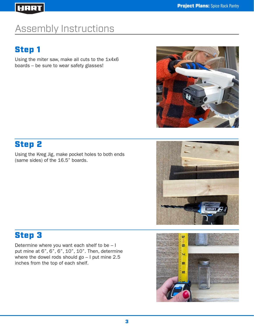### HART

# Assembly Instructions

# Step 1

Using the miter saw, make all cuts to the 1x4x6 boards – be sure to wear safety glasses!



# Step 2

Using the Kreg Jig, make pocket holes to both ends (same sides) of the 16.5" boards.



# Step 3

Determine where you want each shelf to be – I put mine at 6", 6", 6", 10", 10". Then, determine where the dowel rods should go – I put mine 2.5 inches from the top of each shelf.

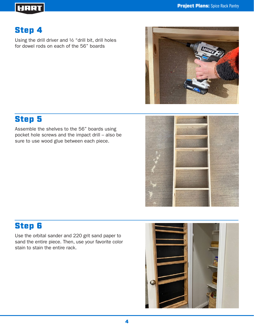#### **Project Plans:** Spice Rack Pantry

### HART

# Step 4

Using the drill driver and ½ "drill bit, drill holes for dowel rods on each of the 56" boards



### Step 5

Assemble the shelves to the 56" boards using pocket hole screws and the impact drill – also be sure to use wood glue between each piece.



# Step 6

Use the orbital sander and 220 grit sand paper to sand the entire piece. Then, use your favorite color stain to stain the entire rack.